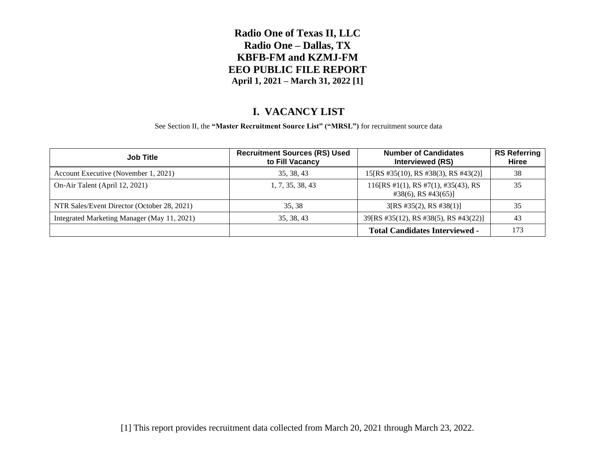### **I. VACANCY LIST**

See Section II, the **"Master Recruitment Source List" ("MRSL")** for recruitment source data

| <b>Job Title</b>                            | <b>Recruitment Sources (RS) Used</b><br>to Fill Vacancy | <b>Number of Candidates</b><br>Interviewed (RS)                    | <b>RS Referring</b><br>Hiree |
|---------------------------------------------|---------------------------------------------------------|--------------------------------------------------------------------|------------------------------|
| Account Executive (November 1, 2021)        | 35, 38, 43                                              | 15[RS #35(10), RS #38(3), RS #43(2)]                               | 38                           |
| On-Air Talent (April 12, 2021)              | 1, 7, 35, 38, 43                                        | 116[RS #1(1), RS #7(1), #35(43), RS<br>$\#38(6)$ , RS $\#43(65)$ ] | 35                           |
| NTR Sales/Event Director (October 28, 2021) | 35, 38                                                  | 3[RS #35(2), RS #38(1)]                                            | 35                           |
| Integrated Marketing Manager (May 11, 2021) | 35, 38, 43                                              | 39 [RS #35(12), RS #38(5), RS #43(22)]                             | 43                           |
|                                             |                                                         | <b>Total Candidates Interviewed -</b>                              | 173                          |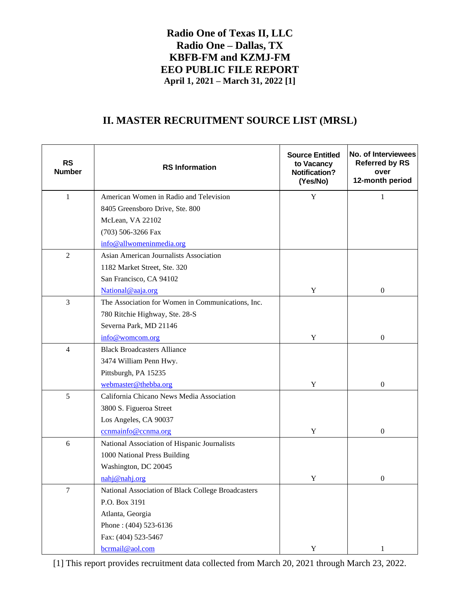## **II. MASTER RECRUITMENT SOURCE LIST (MRSL)**

| <b>RS</b><br><b>Number</b> | <b>RS</b> Information                              | <b>Source Entitled</b><br>to Vacancy<br><b>Notification?</b><br>(Yes/No) | No. of Interviewees<br><b>Referred by RS</b><br>over<br>12-month period |
|----------------------------|----------------------------------------------------|--------------------------------------------------------------------------|-------------------------------------------------------------------------|
| 1                          | American Women in Radio and Television             | $\mathbf Y$                                                              | 1                                                                       |
|                            | 8405 Greensboro Drive, Ste. 800                    |                                                                          |                                                                         |
|                            | McLean, VA 22102                                   |                                                                          |                                                                         |
|                            | (703) 506-3266 Fax                                 |                                                                          |                                                                         |
|                            | info@allwomeninmedia.org                           |                                                                          |                                                                         |
| $\overline{2}$             | Asian American Journalists Association             |                                                                          |                                                                         |
|                            | 1182 Market Street, Ste. 320                       |                                                                          |                                                                         |
|                            | San Francisco, CA 94102                            |                                                                          |                                                                         |
|                            | National@aaja.org                                  | Y                                                                        | $\mathbf{0}$                                                            |
| $\mathfrak{Z}$             | The Association for Women in Communications, Inc.  |                                                                          |                                                                         |
|                            | 780 Ritchie Highway, Ste. 28-S                     |                                                                          |                                                                         |
|                            | Severna Park, MD 21146                             |                                                                          |                                                                         |
|                            | info@womcom.org                                    | $\mathbf Y$                                                              | $\boldsymbol{0}$                                                        |
| $\overline{4}$             | <b>Black Broadcasters Alliance</b>                 |                                                                          |                                                                         |
|                            | 3474 William Penn Hwy.                             |                                                                          |                                                                         |
|                            | Pittsburgh, PA 15235                               |                                                                          |                                                                         |
|                            | webmaster@thebba.org                               | Y                                                                        | $\overline{0}$                                                          |
| 5                          | California Chicano News Media Association          |                                                                          |                                                                         |
|                            | 3800 S. Figueroa Street                            |                                                                          |                                                                         |
|                            | Los Angeles, CA 90037                              |                                                                          |                                                                         |
|                            | ccnmainfo@ccnma.org                                | Y                                                                        | $\boldsymbol{0}$                                                        |
| 6                          | National Association of Hispanic Journalists       |                                                                          |                                                                         |
|                            | 1000 National Press Building                       |                                                                          |                                                                         |
|                            | Washington, DC 20045                               |                                                                          |                                                                         |
|                            | nahj@nahj.org                                      | Y                                                                        | 0                                                                       |
| $\overline{7}$             | National Association of Black College Broadcasters |                                                                          |                                                                         |
|                            | P.O. Box 3191                                      |                                                                          |                                                                         |
|                            | Atlanta, Georgia                                   |                                                                          |                                                                         |
|                            | Phone: (404) 523-6136                              |                                                                          |                                                                         |
|                            | Fax: (404) 523-5467                                |                                                                          |                                                                         |
|                            | bcrmail@aol.com                                    | Y                                                                        | $\mathbf{1}$                                                            |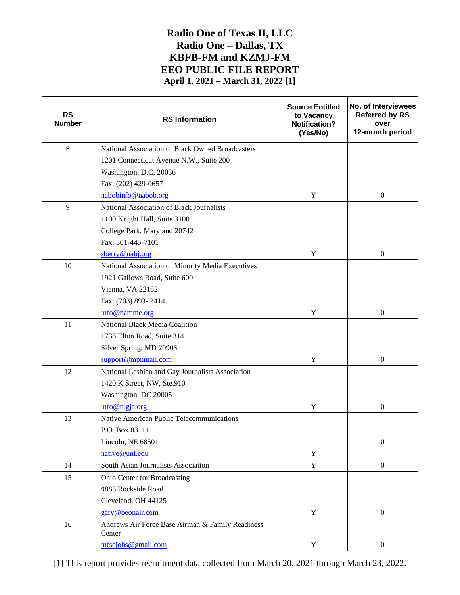| <b>RS</b><br><b>Number</b> | <b>RS</b> Information                                      | <b>Source Entitled</b><br>to Vacancy<br><b>Notification?</b><br>(Yes/No) | No. of Interviewees<br><b>Referred by RS</b><br>over<br>12-month period |
|----------------------------|------------------------------------------------------------|--------------------------------------------------------------------------|-------------------------------------------------------------------------|
| $\,8\,$                    | National Association of Black Owned Broadcasters           |                                                                          |                                                                         |
|                            | 1201 Connecticut Avenue N.W., Suite 200                    |                                                                          |                                                                         |
|                            | Washington, D.C. 20036                                     |                                                                          |                                                                         |
|                            | Fax: (202) 429-0657                                        |                                                                          |                                                                         |
|                            | nabobinfo@nabob.org                                        | $\mathbf Y$                                                              | $\boldsymbol{0}$                                                        |
| 9                          | National Association of Black Journalists                  |                                                                          |                                                                         |
|                            | 1100 Knight Hall, Suite 3100                               |                                                                          |                                                                         |
|                            | College Park, Maryland 20742                               |                                                                          |                                                                         |
|                            | Fax: 301-445-7101                                          |                                                                          |                                                                         |
|                            | sberry@nabj.org                                            | $\mathbf Y$                                                              | $\mathbf{0}$                                                            |
| 10                         | National Association of Minority Media Executives          |                                                                          |                                                                         |
|                            | 1921 Gallows Road, Suite 600                               |                                                                          |                                                                         |
|                            | Vienna, VA 22182                                           |                                                                          |                                                                         |
|                            | Fax: (703) 893-2414                                        |                                                                          |                                                                         |
|                            | info@namme.org                                             | $\mathbf Y$                                                              | $\mathbf{0}$                                                            |
| 11                         | National Black Media Coalition                             |                                                                          |                                                                         |
|                            | 1738 Elton Road, Suite 314                                 |                                                                          |                                                                         |
|                            | Silver Spring, MD 20903                                    |                                                                          |                                                                         |
|                            | support@mpnmail.com                                        | Y                                                                        | $\mathbf{0}$                                                            |
| 12                         | National Lesbian and Gay Journalists Association           |                                                                          |                                                                         |
|                            | 1420 K Street, NW, Ste.910                                 |                                                                          |                                                                         |
|                            | Washington, DC 20005                                       |                                                                          |                                                                         |
|                            | info@nlgja.org                                             | Y                                                                        | $\boldsymbol{0}$                                                        |
| 13                         | Native American Public Telecommunications                  |                                                                          |                                                                         |
|                            | P.O. Box 83111                                             |                                                                          |                                                                         |
|                            | Lincoln, NE 68501                                          |                                                                          | $\boldsymbol{0}$                                                        |
|                            | native@unl.edu                                             | $\mathbf Y$                                                              |                                                                         |
| 14                         | South Asian Journalists Association                        | $\mathbf Y$                                                              | $\boldsymbol{0}$                                                        |
| 15                         | Ohio Center for Broadcasting                               |                                                                          |                                                                         |
|                            | 9885 Rockside Road                                         |                                                                          |                                                                         |
|                            | Cleveland, OH 44125                                        |                                                                          |                                                                         |
|                            | gary@beonair.com                                           | $\mathbf Y$                                                              | $\boldsymbol{0}$                                                        |
| 16                         | Andrews Air Force Base Airman & Family Readiness<br>Center |                                                                          |                                                                         |
|                            | mfscjobs@gmail.com                                         | Y                                                                        | $\boldsymbol{0}$                                                        |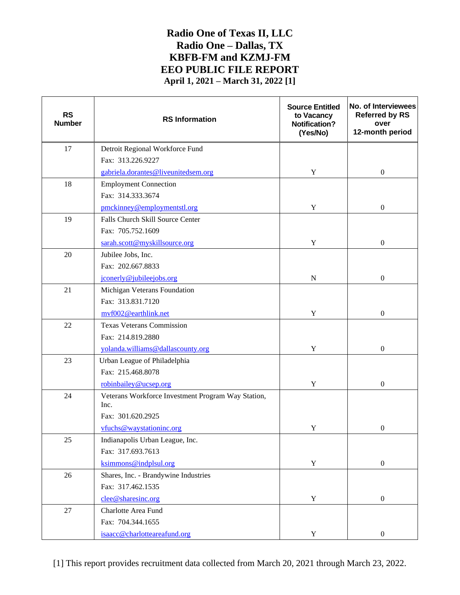| <b>RS</b><br><b>Number</b> | <b>RS</b> Information                                      | <b>Source Entitled</b><br>to Vacancy<br>Notification?<br>(Yes/No) | No. of Interviewees<br><b>Referred by RS</b><br>over<br>12-month period |
|----------------------------|------------------------------------------------------------|-------------------------------------------------------------------|-------------------------------------------------------------------------|
| 17                         | Detroit Regional Workforce Fund                            |                                                                   |                                                                         |
|                            | Fax: 313.226.9227                                          |                                                                   |                                                                         |
|                            | gabriela.dorantes@liveunitedsem.org                        | Y                                                                 | $\boldsymbol{0}$                                                        |
| 18                         | <b>Employment Connection</b>                               |                                                                   |                                                                         |
|                            | Fax: 314.333.3674                                          |                                                                   |                                                                         |
|                            | pmckinney@employmentstl.org                                | Y                                                                 | $\boldsymbol{0}$                                                        |
| 19                         | Falls Church Skill Source Center                           |                                                                   |                                                                         |
|                            | Fax: 705.752.1609                                          |                                                                   |                                                                         |
|                            | sarah.scott@myskillsource.org                              | $\mathbf Y$                                                       | $\boldsymbol{0}$                                                        |
| 20                         | Jubilee Jobs, Inc.                                         |                                                                   |                                                                         |
|                            | Fax: 202.667.8833                                          |                                                                   |                                                                         |
|                            | jconerly@jubileejobs.org                                   | ${\bf N}$                                                         | $\boldsymbol{0}$                                                        |
| 21                         | Michigan Veterans Foundation                               |                                                                   |                                                                         |
|                            | Fax: 313.831.7120                                          |                                                                   |                                                                         |
|                            | mvf002@earthlink.net                                       | $\mathbf Y$                                                       | $\boldsymbol{0}$                                                        |
| 22                         | <b>Texas Veterans Commission</b>                           |                                                                   |                                                                         |
|                            | Fax: 214.819.2880                                          |                                                                   |                                                                         |
|                            | yolanda.williams@dallascounty.org                          | $\mathbf Y$                                                       | $\boldsymbol{0}$                                                        |
| 23                         | Urban League of Philadelphia                               |                                                                   |                                                                         |
|                            | Fax: 215.468.8078                                          |                                                                   |                                                                         |
|                            | robinbailey@ucsep.org                                      | Y                                                                 | $\boldsymbol{0}$                                                        |
| 24                         | Veterans Workforce Investment Program Way Station,<br>Inc. |                                                                   |                                                                         |
|                            | Fax: 301.620.2925                                          |                                                                   |                                                                         |
|                            | vfuchs@waystationinc.org                                   | $\mathbf Y$                                                       | $\boldsymbol{0}$                                                        |
| $25\,$                     | Indianapolis Urban League, Inc.                            |                                                                   |                                                                         |
|                            | Fax: 317.693.7613                                          |                                                                   |                                                                         |
|                            | ksimmons@indplsul.org                                      | Y                                                                 | $\boldsymbol{0}$                                                        |
| 26                         | Shares, Inc. - Brandywine Industries                       |                                                                   |                                                                         |
|                            | Fax: 317.462.1535                                          |                                                                   |                                                                         |
|                            | clee@sharesinc.org                                         | $\mathbf Y$                                                       | $\boldsymbol{0}$                                                        |
| 27                         | Charlotte Area Fund                                        |                                                                   |                                                                         |
|                            | Fax: 704.344.1655                                          |                                                                   |                                                                         |
|                            | isaacc@charlotteareafund.org                               | $\mathbf Y$                                                       | $\boldsymbol{0}$                                                        |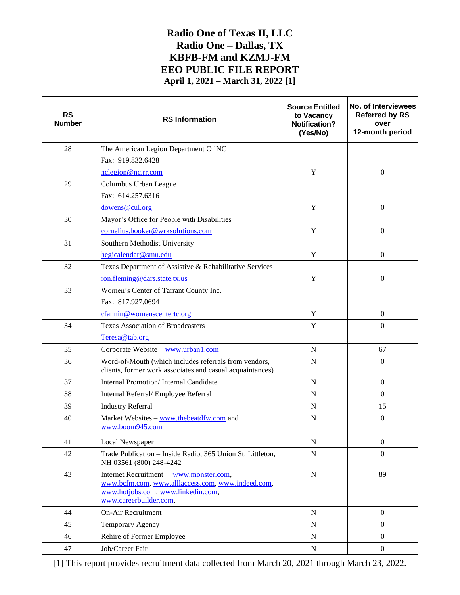| <b>RS</b><br><b>Number</b> | <b>RS Information</b>                                                                                                                                        | <b>Source Entitled</b><br>to Vacancy<br><b>Notification?</b><br>(Yes/No) | No. of Interviewees<br><b>Referred by RS</b><br>over<br>12-month period |
|----------------------------|--------------------------------------------------------------------------------------------------------------------------------------------------------------|--------------------------------------------------------------------------|-------------------------------------------------------------------------|
| 28                         | The American Legion Department Of NC                                                                                                                         |                                                                          |                                                                         |
|                            | Fax: 919.832.6428                                                                                                                                            |                                                                          |                                                                         |
|                            | nclegion@nc.rr.com                                                                                                                                           | Y                                                                        | $\boldsymbol{0}$                                                        |
| 29                         | Columbus Urban League                                                                                                                                        |                                                                          |                                                                         |
|                            | Fax: 614.257.6316                                                                                                                                            |                                                                          |                                                                         |
|                            | dowens@cul.org                                                                                                                                               | Y                                                                        | $\boldsymbol{0}$                                                        |
| 30                         | Mayor's Office for People with Disabilities                                                                                                                  |                                                                          |                                                                         |
|                            | cornelius.booker@wrksolutions.com                                                                                                                            | Y                                                                        | $\mathbf{0}$                                                            |
| 31                         | Southern Methodist University                                                                                                                                |                                                                          |                                                                         |
|                            | hegicalendar@smu.edu                                                                                                                                         | Y                                                                        | $\boldsymbol{0}$                                                        |
| 32                         | Texas Department of Assistive & Rehabilitative Services                                                                                                      |                                                                          |                                                                         |
|                            | ron.fleming@dars.state.tx.us                                                                                                                                 | Y                                                                        | $\boldsymbol{0}$                                                        |
| 33                         | Women's Center of Tarrant County Inc.                                                                                                                        |                                                                          |                                                                         |
|                            | Fax: 817.927.0694                                                                                                                                            |                                                                          |                                                                         |
|                            | cfannin@womenscentertc.org                                                                                                                                   | Y                                                                        | $\boldsymbol{0}$                                                        |
| 34                         | <b>Texas Association of Broadcasters</b>                                                                                                                     | $\mathbf Y$                                                              | $\boldsymbol{0}$                                                        |
|                            | Teresa@tab.org                                                                                                                                               |                                                                          |                                                                         |
| 35                         | Corporate Website - www.urban1.com                                                                                                                           | $\mathbf N$                                                              | 67                                                                      |
| 36                         | Word-of-Mouth (which includes referrals from vendors,<br>clients, former work associates and casual acquaintances)                                           | $\mathbf N$                                                              | $\Omega$                                                                |
| 37                         | <b>Internal Promotion/Internal Candidate</b>                                                                                                                 | ${\bf N}$                                                                | $\boldsymbol{0}$                                                        |
| 38                         | Internal Referral/ Employee Referral                                                                                                                         | $\mathbf N$                                                              | $\Omega$                                                                |
| 39                         | <b>Industry Referral</b>                                                                                                                                     | ${\bf N}$                                                                | 15                                                                      |
| 40                         | Market Websites - www.thebeatdfw.com and<br>www.boom945.com                                                                                                  | ${\bf N}$                                                                | $\boldsymbol{0}$                                                        |
| 41                         | Local Newspaper                                                                                                                                              | ${\bf N}$                                                                | $\boldsymbol{0}$                                                        |
| 42                         | Trade Publication - Inside Radio, 365 Union St. Littleton,<br>NH 03561 (800) 248-4242                                                                        | ${\bf N}$                                                                | $\Omega$                                                                |
| 43                         | Internet Recruitment - www.monster.com,<br>www.bcfm.com, www.alllaccess.com, www.indeed.com,<br>www.hotjobs.com, www.linkedin.com,<br>www.careerbuilder.com. | ${\bf N}$                                                                | 89                                                                      |
| 44                         | On-Air Recruitment                                                                                                                                           | ${\bf N}$                                                                | $\mathbf{0}$                                                            |
| 45                         | Temporary Agency                                                                                                                                             | ${\bf N}$                                                                | $\mathbf{0}$                                                            |
| 46                         | Rehire of Former Employee                                                                                                                                    | N                                                                        | $\mathbf{0}$                                                            |
| 47                         | Job/Career Fair                                                                                                                                              | ${\bf N}$                                                                | $\mathbf{0}$                                                            |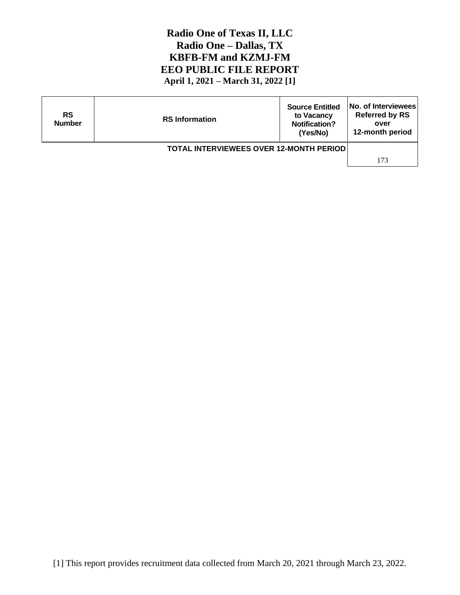| <b>RS</b><br><b>Number</b>                     | <b>RS</b> Information | <b>Source Entitled</b><br>to Vacancy<br><b>Notification?</b><br>(Yes/No) | <b>No. of Interviewees</b><br><b>Referred by RS</b><br>over<br>12-month period |
|------------------------------------------------|-----------------------|--------------------------------------------------------------------------|--------------------------------------------------------------------------------|
| <b>TOTAL INTERVIEWEES OVER 12-MONTH PERIOD</b> |                       |                                                                          |                                                                                |
|                                                |                       |                                                                          | 173                                                                            |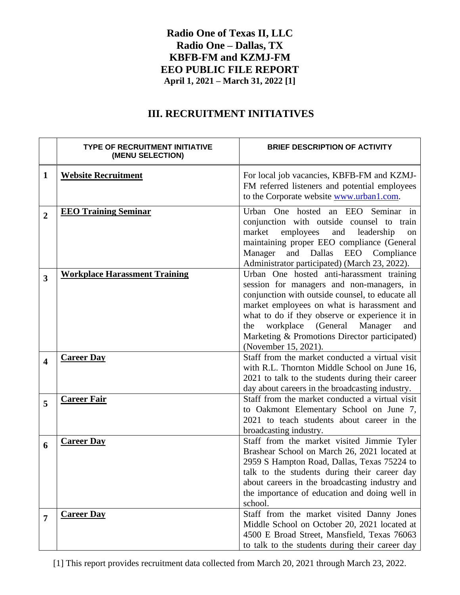# **III. RECRUITMENT INITIATIVES**

|                         | <b>TYPE OF RECRUITMENT INITIATIVE</b><br>(MENU SELECTION) | <b>BRIEF DESCRIPTION OF ACTIVITY</b>                                                                                                                                                                                                                                                                                                                               |
|-------------------------|-----------------------------------------------------------|--------------------------------------------------------------------------------------------------------------------------------------------------------------------------------------------------------------------------------------------------------------------------------------------------------------------------------------------------------------------|
| $\mathbf{1}$            | <b>Website Recruitment</b>                                | For local job vacancies, KBFB-FM and KZMJ-<br>FM referred listeners and potential employees<br>to the Corporate website www.urban1.com.                                                                                                                                                                                                                            |
| $\overline{2}$          | <b>EEO Training Seminar</b>                               | Urban One hosted an EEO Seminar in<br>conjunction with outside counsel to train<br>market<br>employees<br>and<br>leadership<br>on<br>maintaining proper EEO compliance (General<br>and Dallas EEO Compliance<br>Manager<br>Administrator participated) (March 23, 2022).                                                                                           |
| 3                       | <b>Workplace Harassment Training</b>                      | Urban One hosted anti-harassment training<br>session for managers and non-managers, in<br>conjunction with outside counsel, to educate all<br>market employees on what is harassment and<br>what to do if they observe or experience it in<br>workplace (General<br>Manager<br>the<br>and<br>Marketing & Promotions Director participated)<br>(November 15, 2021). |
| $\overline{\mathbf{4}}$ | <b>Career Day</b>                                         | Staff from the market conducted a virtual visit<br>with R.L. Thornton Middle School on June 16,<br>2021 to talk to the students during their career<br>day about careers in the broadcasting industry.                                                                                                                                                             |
| 5                       | <b>Career Fair</b>                                        | Staff from the market conducted a virtual visit<br>to Oakmont Elementary School on June 7,<br>2021 to teach students about career in the<br>broadcasting industry.                                                                                                                                                                                                 |
| 6                       | <b>Career Day</b>                                         | Staff from the market visited Jimmie Tyler<br>Brashear School on March 26, 2021 located at<br>2959 S Hampton Road, Dallas, Texas 75224 to<br>talk to the students during their career day<br>about careers in the broadcasting industry and<br>the importance of education and doing well in<br>school.                                                            |
| 7                       | <b>Career Day</b>                                         | Staff from the market visited Danny Jones<br>Middle School on October 20, 2021 located at<br>4500 E Broad Street, Mansfield, Texas 76063<br>to talk to the students during their career day                                                                                                                                                                        |